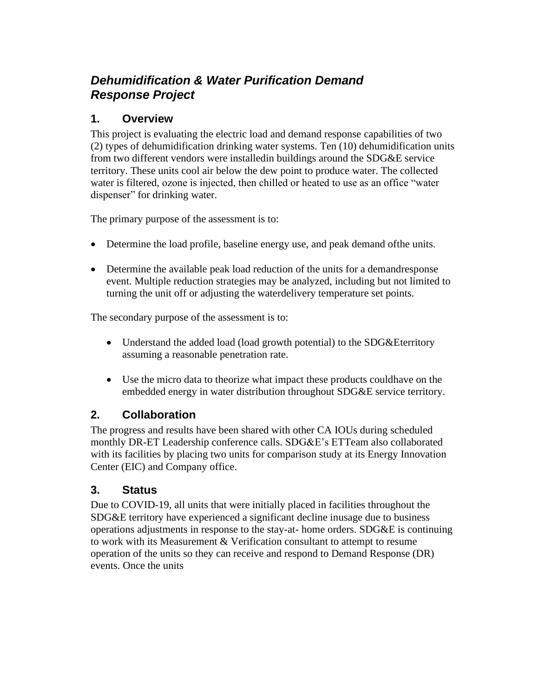# *Dehumidification & Water Purification Demand Response Project*

#### **1. Overview**

This project is evaluating the electric load and demand response capabilities of two (2) types of dehumidification drinking water systems. Ten (10) dehumidification units from two different vendors were installedin buildings around the SDG&E service territory. These units cool air below the dew point to produce water. The collected water is filtered, ozone is injected, then chilled or heated to use as an office "water dispenser" for drinking water.

The primary purpose of the assessment is to:

- Determine the load profile, baseline energy use, and peak demand ofthe units.
- Determine the available peak load reduction of the units for a demandresponse event. Multiple reduction strategies may be analyzed, including but not limited to turning the unit off or adjusting the waterdelivery temperature set points.

The secondary purpose of the assessment is to:

- Understand the added load (load growth potential) to the SDG&Eterritory assuming a reasonable penetration rate.
- Use the micro data to theorize what impact these products couldhave on the embedded energy in water distribution throughout SDG&E service territory.

## **2. Collaboration**

The progress and results have been shared with other CA IOUs during scheduled monthly DR-ET Leadership conference calls. SDG&E's ETTeam also collaborated with its facilities by placing two units for comparison study at its Energy Innovation Center (EIC) and Company office.

#### **3. Status**

Due to COVID-19, all units that were initially placed in facilities throughout the SDG&E territory have experienced a significant decline inusage due to business operations adjustments in response to the stay-at- home orders. SDG&E is continuing to work with its Measurement & Verification consultant to attempt to resume operation of the units so they can receive and respond to Demand Response (DR) events. Once the units